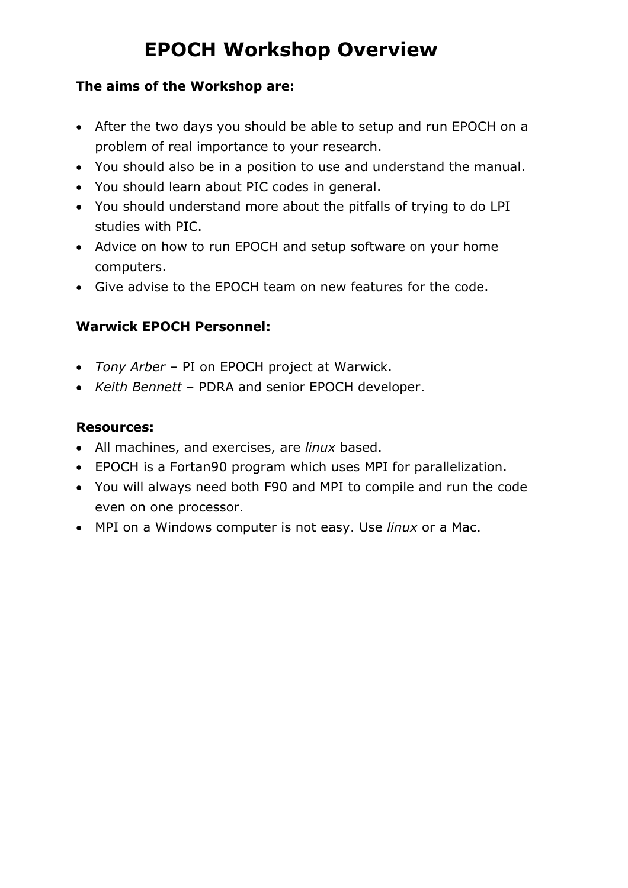## **EPOCH Workshop Overview**

#### **The aims of the Workshop are:**

- After the two days you should be able to setup and run EPOCH on a problem of real importance to your research.
- You should also be in a position to use and understand the manual.
- You should learn about PIC codes in general.
- You should understand more about the pitfalls of trying to do LPI studies with PIC.
- Advice on how to run EPOCH and setup software on your home computers.
- Give advise to the EPOCH team on new features for the code.

#### **Warwick EPOCH Personnel:**

- *Tony Arber* PI on EPOCH project at Warwick.
- *Keith Bennett* PDRA and senior EPOCH developer.

#### **Resources:**

- All machines, and exercises, are *linux* based.
- EPOCH is a Fortan90 program which uses MPI for parallelization.
- You will always need both F90 and MPI to compile and run the code even on one processor.
- MPI on a Windows computer is not easy. Use *linux* or a Mac.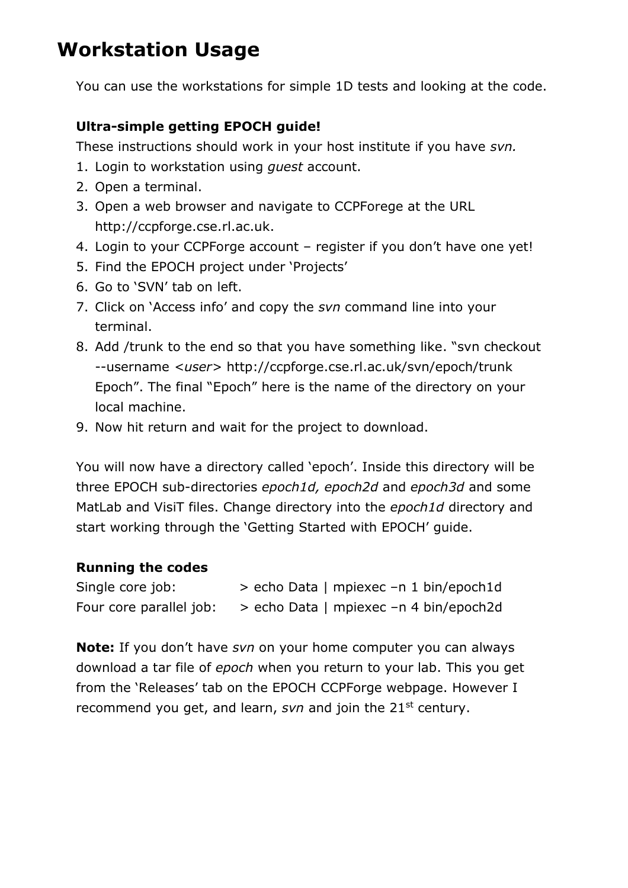### **Workstation Usage**

You can use the workstations for simple 1D tests and looking at the code.

### **Ultra-simple getting EPOCH guide!**

These instructions should work in your host institute if you have *svn.*

- 1. Login to workstation using *guest* account.
- 2. Open a terminal.
- 3. Open a web browser and navigate to CCPForege at the URL http://ccpforge.cse.rl.ac.uk.
- 4. Login to your CCPForge account register if you don't have one yet!
- 5. Find the EPOCH project under 'Projects'
- 6. Go to 'SVN' tab on left.
- 7. Click on 'Access info' and copy the *svn* command line into your terminal.
- 8. Add /trunk to the end so that you have something like. "svn checkout --username *<user>* http://ccpforge.cse.rl.ac.uk/svn/epoch/trunk Epoch". The final "Epoch" here is the name of the directory on your local machine.
- 9. Now hit return and wait for the project to download.

You will now have a directory called 'epoch'. Inside this directory will be three EPOCH sub-directories *epoch1d, epoch2d* and *epoch3d* and some MatLab and VisiT files. Change directory into the *epoch1d* directory and start working through the 'Getting Started with EPOCH' guide.

#### **Running the codes**

```
Single core job: > echo Data | mpiexec –n 1 bin/epoch1d
Four core parallel job: > echo Data | mpiexec –n 4 bin/epoch2d
```
**Note:** If you don't have *svn* on your home computer you can always download a tar file of *epoch* when you return to your lab. This you get from the 'Releases' tab on the EPOCH CCPForge webpage. However I recommend you get, and learn, *svn* and join the 21<sup>st</sup> century.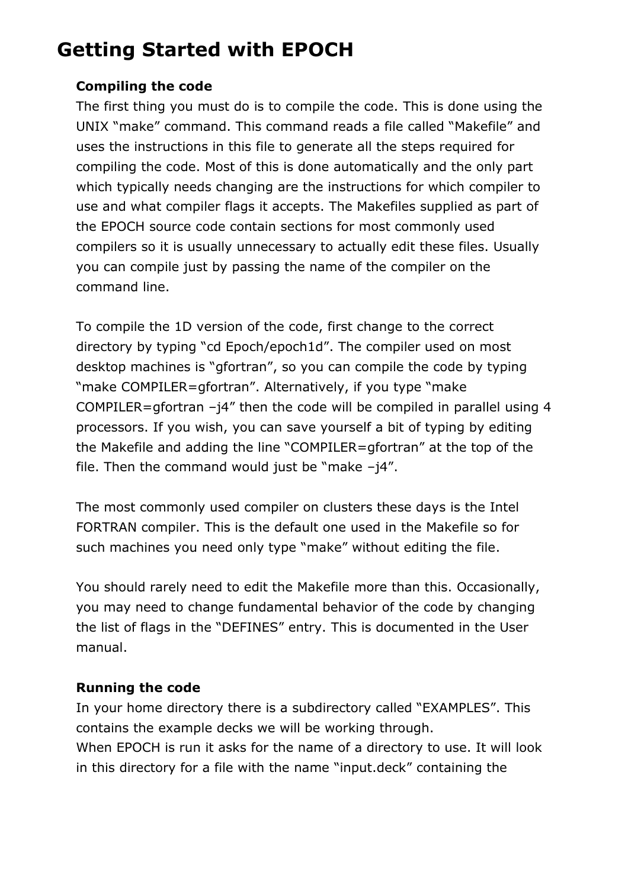## **Getting Started with EPOCH**

#### **Compiling the code**

The first thing you must do is to compile the code. This is done using the UNIX "make" command. This command reads a file called "Makefile" and uses the instructions in this file to generate all the steps required for compiling the code. Most of this is done automatically and the only part which typically needs changing are the instructions for which compiler to use and what compiler flags it accepts. The Makefiles supplied as part of the EPOCH source code contain sections for most commonly used compilers so it is usually unnecessary to actually edit these files. Usually you can compile just by passing the name of the compiler on the command line.

To compile the 1D version of the code, first change to the correct directory by typing "cd Epoch/epoch1d". The compiler used on most desktop machines is "gfortran", so you can compile the code by typing "make COMPILER=gfortran". Alternatively, if you type "make COMPILER=gfortran  $-i4''$  then the code will be compiled in parallel using 4 processors. If you wish, you can save yourself a bit of typing by editing the Makefile and adding the line "COMPILER=gfortran" at the top of the file. Then the command would just be "make  $-i4$ ".

The most commonly used compiler on clusters these days is the Intel FORTRAN compiler. This is the default one used in the Makefile so for such machines you need only type "make" without editing the file.

You should rarely need to edit the Makefile more than this. Occasionally, you may need to change fundamental behavior of the code by changing the list of flags in the "DEFINES" entry. This is documented in the User manual.

#### **Running the code**

In your home directory there is a subdirectory called "EXAMPLES". This contains the example decks we will be working through. When EPOCH is run it asks for the name of a directory to use. It will look in this directory for a file with the name "input.deck" containing the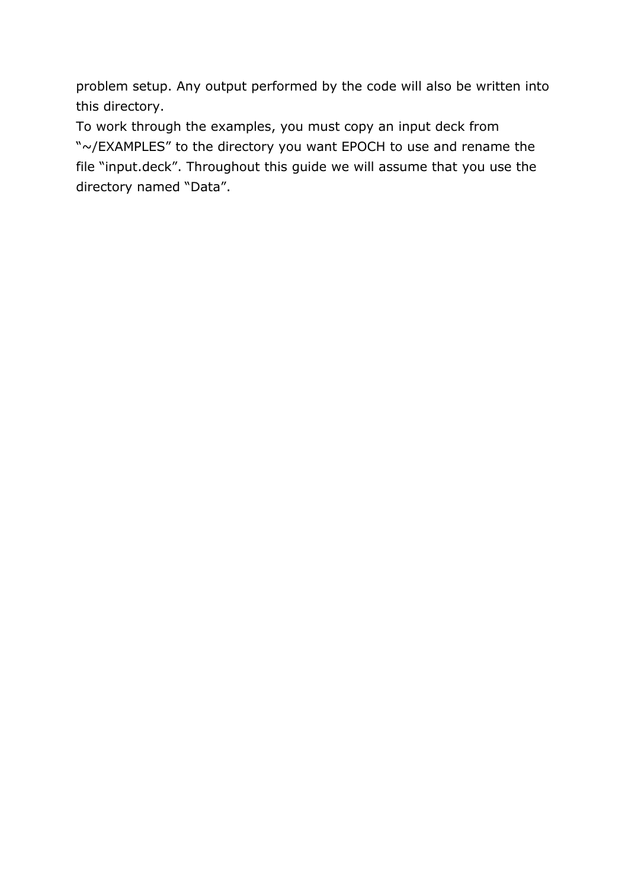problem setup. Any output performed by the code will also be written into this directory.

To work through the examples, you must copy an input deck from "~/EXAMPLES" to the directory you want EPOCH to use and rename the file "input.deck". Throughout this guide we will assume that you use the directory named "Data".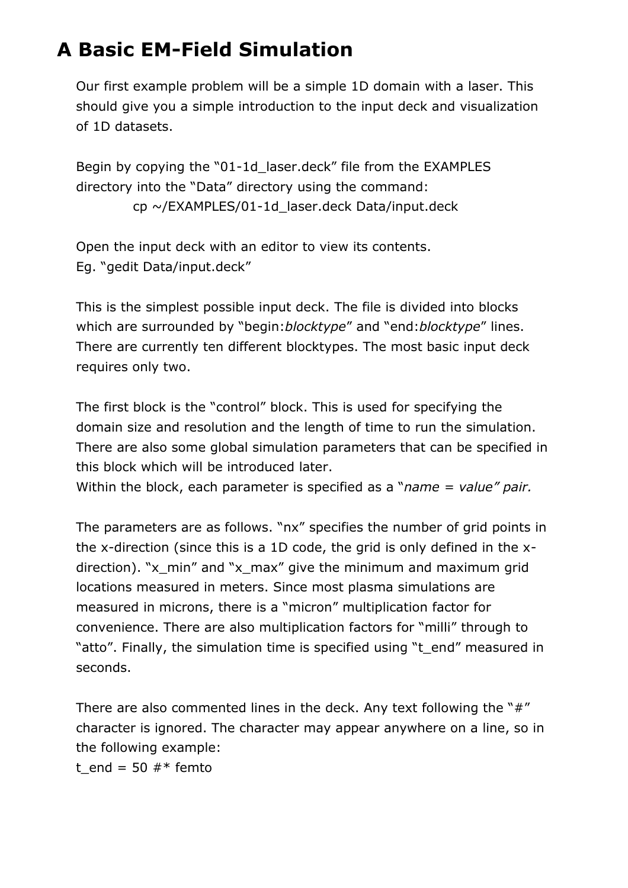# **A Basic EM-Field Simulation**

Our first example problem will be a simple 1D domain with a laser. This should give you a simple introduction to the input deck and visualization of 1D datasets.

Begin by copying the "01-1d\_laser.deck" file from the EXAMPLES directory into the "Data" directory using the command: cp ~/EXAMPLES/01-1d laser.deck Data/input.deck

Open the input deck with an editor to view its contents. Eg. "gedit Data/input.deck"

This is the simplest possible input deck. The file is divided into blocks which are surrounded by "begin:*blocktype*" and "end:*blocktype*" lines. There are currently ten different blocktypes. The most basic input deck requires only two.

The first block is the "control" block. This is used for specifying the domain size and resolution and the length of time to run the simulation. There are also some global simulation parameters that can be specified in this block which will be introduced later.

Within the block, each parameter is specified as a "*name = value" pair.*

The parameters are as follows. "nx" specifies the number of grid points in the x-direction (since this is a 1D code, the grid is only defined in the xdirection). "x\_min" and "x\_max" give the minimum and maximum grid locations measured in meters. Since most plasma simulations are measured in microns, there is a "micron" multiplication factor for convenience. There are also multiplication factors for "milli" through to "atto". Finally, the simulation time is specified using "t end" measured in seconds.

There are also commented lines in the deck. Any text following the "#" character is ignored. The character may appear anywhere on a line, so in the following example:

t end = 50  $#*$  femto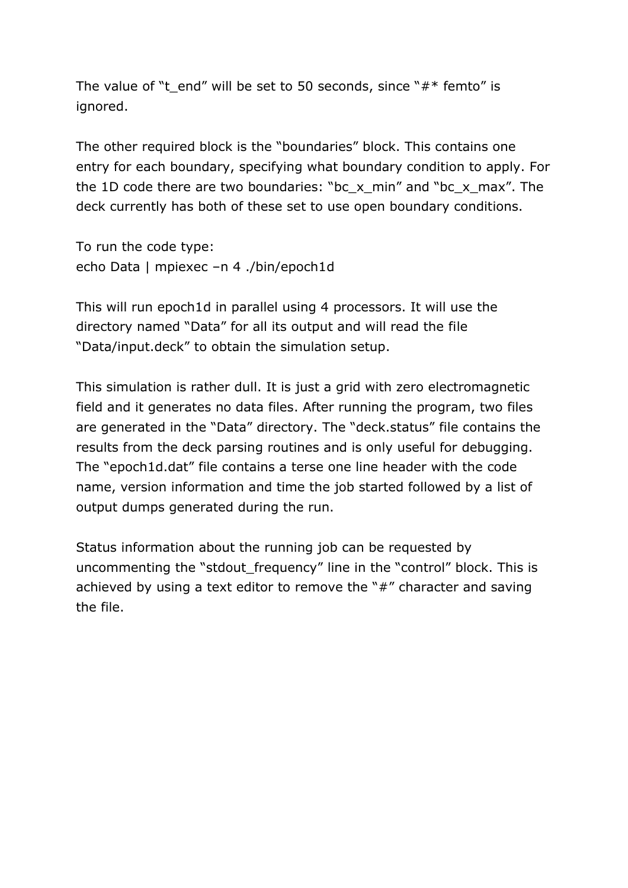The value of "t end" will be set to 50 seconds, since " $#*$  femto" is ignored.

The other required block is the "boundaries" block. This contains one entry for each boundary, specifying what boundary condition to apply. For the 1D code there are two boundaries: "bc  $x$  min" and "bc  $x$  max". The deck currently has both of these set to use open boundary conditions.

To run the code type: echo Data | mpiexec –n 4 ./bin/epoch1d

This will run epoch1d in parallel using 4 processors. It will use the directory named "Data" for all its output and will read the file "Data/input.deck" to obtain the simulation setup.

This simulation is rather dull. It is just a grid with zero electromagnetic field and it generates no data files. After running the program, two files are generated in the "Data" directory. The "deck.status" file contains the results from the deck parsing routines and is only useful for debugging. The "epoch1d.dat" file contains a terse one line header with the code name, version information and time the job started followed by a list of output dumps generated during the run.

Status information about the running job can be requested by uncommenting the "stdout frequency" line in the "control" block. This is achieved by using a text editor to remove the "#" character and saving the file.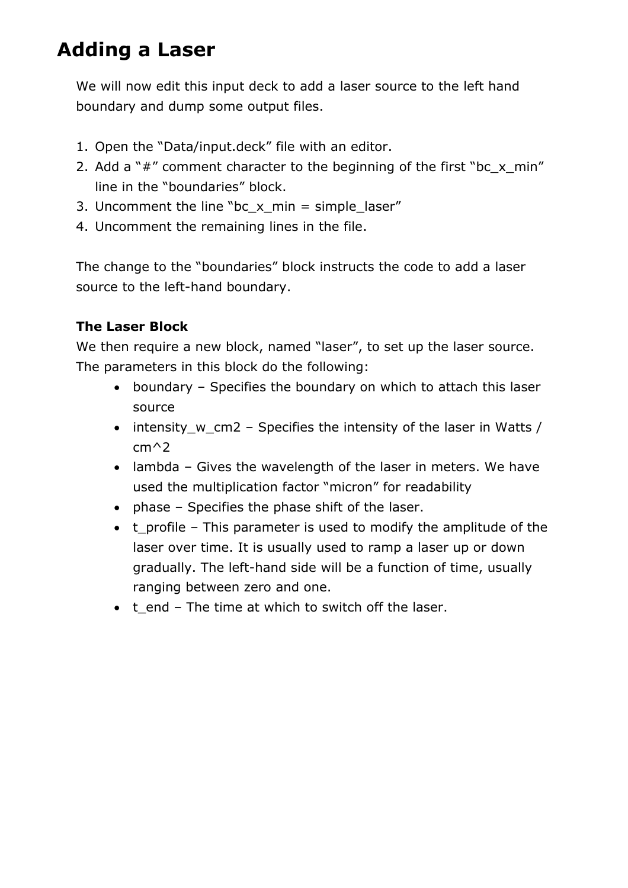## **Adding a Laser**

We will now edit this input deck to add a laser source to the left hand boundary and dump some output files.

- 1. Open the "Data/input.deck" file with an editor.
- 2. Add a " $#''$  comment character to the beginning of the first "bc  $x$  min" line in the "boundaries" block.
- 3. Uncomment the line "bc  $x$  min = simple laser"
- 4. Uncomment the remaining lines in the file.

The change to the "boundaries" block instructs the code to add a laser source to the left-hand boundary.

### **The Laser Block**

We then require a new block, named "laser", to set up the laser source. The parameters in this block do the following:

- boundary Specifies the boundary on which to attach this laser source
- intensity\_w\_cm2 Specifies the intensity of the laser in Watts / cm^2
- lambda Gives the wavelength of the laser in meters. We have used the multiplication factor "micron" for readability
- phase Specifies the phase shift of the laser.
- t profile This parameter is used to modify the amplitude of the laser over time. It is usually used to ramp a laser up or down gradually. The left-hand side will be a function of time, usually ranging between zero and one.
- t\_end The time at which to switch off the laser.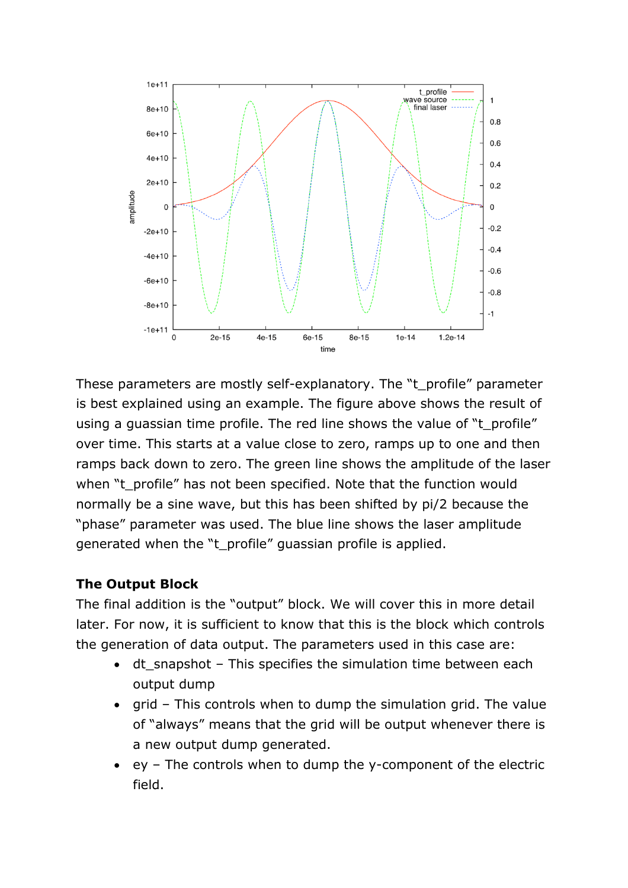

These parameters are mostly self-explanatory. The "t\_profile" parameter is best explained using an example. The figure above shows the result of using a guassian time profile. The red line shows the value of "t\_profile" over time. This starts at a value close to zero, ramps up to one and then ramps back down to zero. The green line shows the amplitude of the laser when "t\_profile" has not been specified. Note that the function would normally be a sine wave, but this has been shifted by pi/2 because the "phase" parameter was used. The blue line shows the laser amplitude generated when the "t\_profile" guassian profile is applied.

#### **The Output Block**

The final addition is the "output" block. We will cover this in more detail later. For now, it is sufficient to know that this is the block which controls the generation of data output. The parameters used in this case are:

- $\bullet$  dt snapshot This specifies the simulation time between each output dump
- grid This controls when to dump the simulation grid. The value of "always" means that the grid will be output whenever there is a new output dump generated.
- ey The controls when to dump the y-component of the electric field.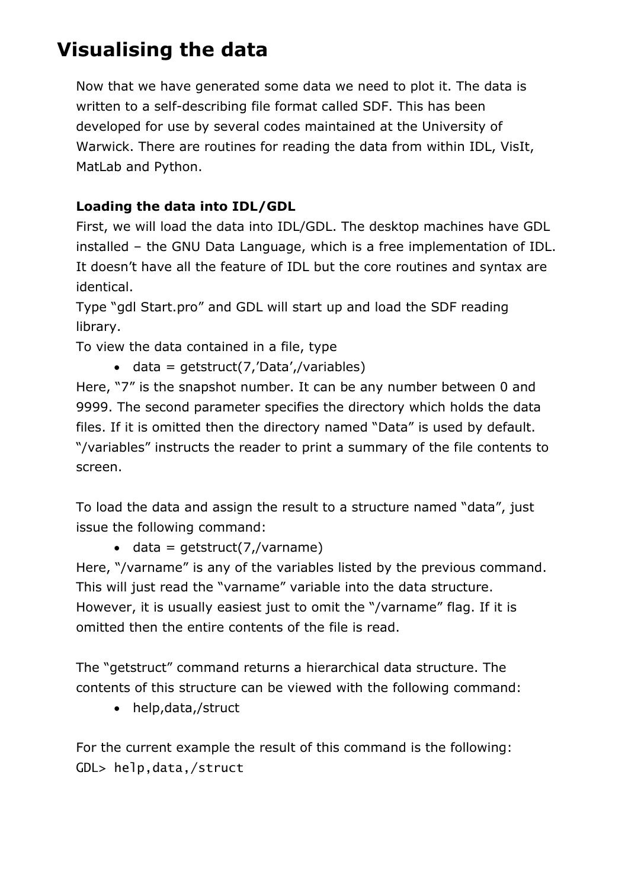# **Visualising the data**

Now that we have generated some data we need to plot it. The data is written to a self-describing file format called SDF. This has been developed for use by several codes maintained at the University of Warwick. There are routines for reading the data from within IDL, VisIt, MatLab and Python.

### **Loading the data into IDL/GDL**

First, we will load the data into IDL/GDL. The desktop machines have GDL installed – the GNU Data Language, which is a free implementation of IDL. It doesn't have all the feature of IDL but the core routines and syntax are identical.

Type "gdl Start.pro" and GDL will start up and load the SDF reading library.

To view the data contained in a file, type

 $\bullet$  data = getstruct(7,'Data',/variables)

Here, "7" is the snapshot number. It can be any number between 0 and 9999. The second parameter specifies the directory which holds the data files. If it is omitted then the directory named "Data" is used by default. "/variables" instructs the reader to print a summary of the file contents to screen.

To load the data and assign the result to a structure named "data", just issue the following command:

 $\bullet$  data = getstruct(7,/varname)

Here, "/varname" is any of the variables listed by the previous command. This will just read the "varname" variable into the data structure. However, it is usually easiest just to omit the "/varname" flag. If it is omitted then the entire contents of the file is read.

The "getstruct" command returns a hierarchical data structure. The contents of this structure can be viewed with the following command:

• help,data,/struct

For the current example the result of this command is the following: GDL> help,data,/struct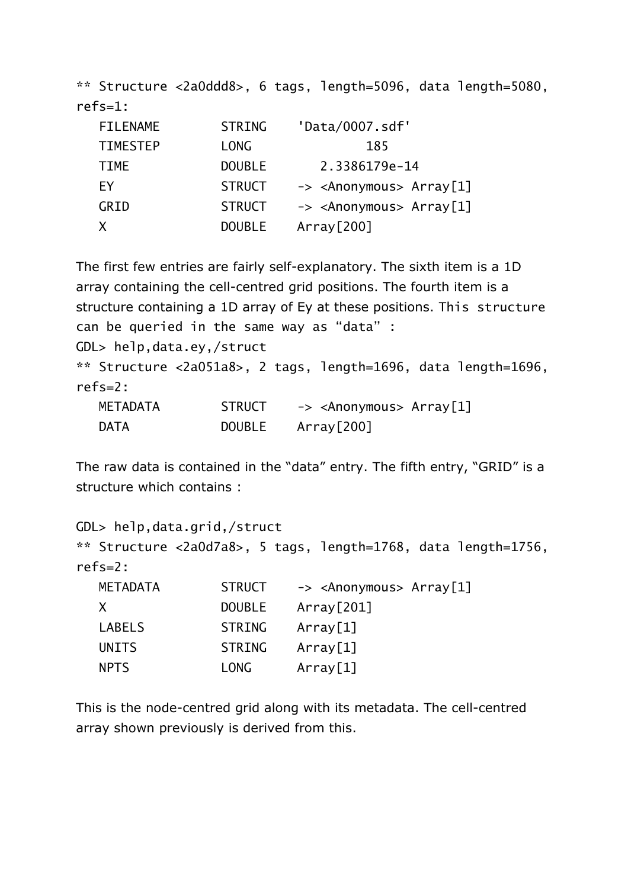\*\* Structure <2a0ddd8>, 6 tags, length=5096, data length=5080, refs=1:

| <b>FILENAME</b> | <b>STRING</b> | 'Data/0007.sdf'                                 |
|-----------------|---------------|-------------------------------------------------|
| <b>TIMESTEP</b> | <b>LONG</b>   | 185                                             |
| <b>TIME</b>     | <b>DOUBLE</b> | 2.3386179e-14                                   |
| FY              | <b>STRUCT</b> | -> <anonymous> Array[1]</anonymous>             |
| GRID            | <b>STRUCT</b> | $\rightarrow$ <anonymous> Array [1]</anonymous> |
| x               | <b>DOUBLE</b> | Array [200]                                     |

The first few entries are fairly self-explanatory. The sixth item is a 1D array containing the cell-centred grid positions. The fourth item is a structure containing a 1D array of Ey at these positions. This structure can be queried in the same way as "data" : GDL> help,data.ey,/struct \*\* Structure <2a051a8>, 2 tags, length=1696, data length=1696, refs=2:

| METADATA    | <b>STRUCT</b> | -> <anonymous> Array[1]</anonymous> |
|-------------|---------------|-------------------------------------|
| <b>DATA</b> | <b>DOUBLE</b> | Array[200]                          |

The raw data is contained in the "data" entry. The fifth entry, "GRID" is a structure which contains :

```
GDL> help,data.grid,/struct
** Structure <2a0d7a8>, 5 tags, length=1768, data length=1756, 
refs=2:
```

| <b>METADATA</b> | <b>STRUCT</b> | -> <anonymous> Array[1]</anonymous> |
|-----------------|---------------|-------------------------------------|
| X.              | <b>DOUBLE</b> | Array $[201]$                       |
| <b>LABELS</b>   | <b>STRING</b> | Array[1]                            |
| <b>UNITS</b>    | <b>STRING</b> | Array[1]                            |
| <b>NPTS</b>     | <b>LONG</b>   | Array[1]                            |

This is the node-centred grid along with its metadata. The cell-centred array shown previously is derived from this.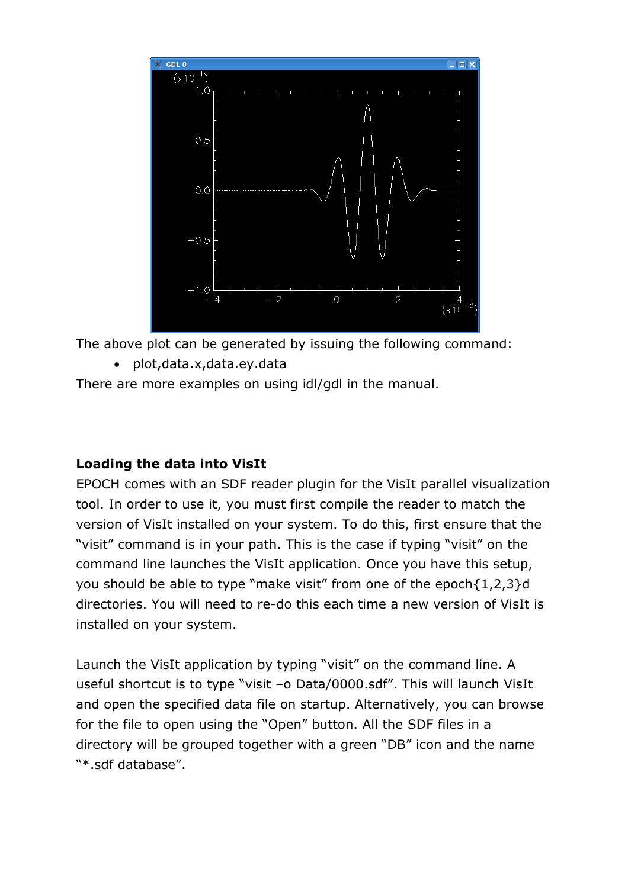

The above plot can be generated by issuing the following command:

plot,data.x,data.ey.data

There are more examples on using idl/gdl in the manual.

#### **Loading the data into VisIt**

EPOCH comes with an SDF reader plugin for the VisIt parallel visualization tool. In order to use it, you must first compile the reader to match the version of VisIt installed on your system. To do this, first ensure that the "visit" command is in your path. This is the case if typing "visit" on the command line launches the VisIt application. Once you have this setup, you should be able to type "make visit" from one of the epoch{1,2,3}d directories. You will need to re-do this each time a new version of VisIt is installed on your system.

Launch the VisIt application by typing "visit" on the command line. A useful shortcut is to type "visit –o Data/0000.sdf". This will launch VisIt and open the specified data file on startup. Alternatively, you can browse for the file to open using the "Open" button. All the SDF files in a directory will be grouped together with a green "DB" icon and the name "\*.sdf database".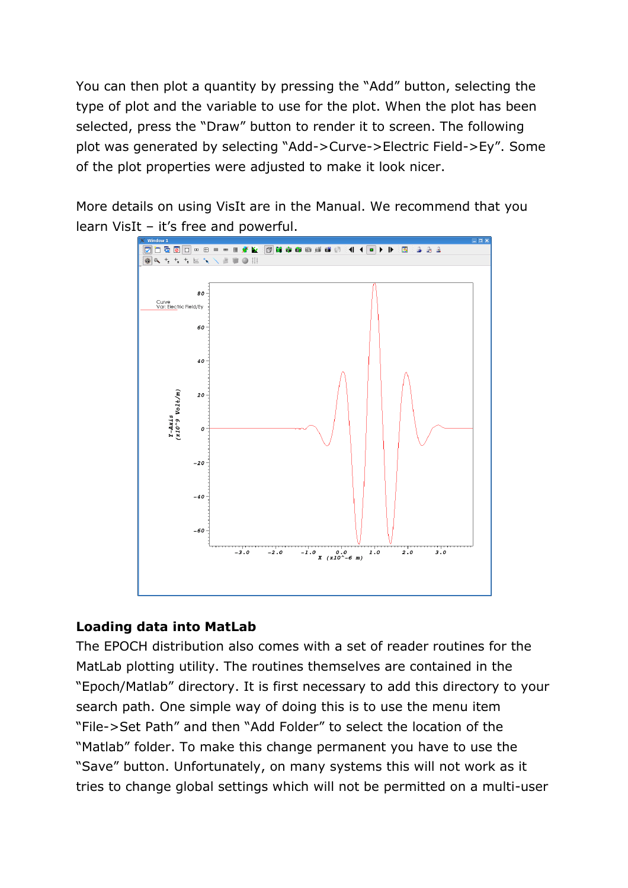You can then plot a quantity by pressing the "Add" button, selecting the type of plot and the variable to use for the plot. When the plot has been selected, press the "Draw" button to render it to screen. The following plot was generated by selecting "Add->Curve->Electric Field->Ey". Some of the plot properties were adjusted to make it look nicer.

More details on using VisIt are in the Manual. We recommend that you learn VisIt – it's free and powerful.



#### **Loading data into MatLab**

The EPOCH distribution also comes with a set of reader routines for the MatLab plotting utility. The routines themselves are contained in the "Epoch/Matlab" directory. It is first necessary to add this directory to your search path. One simple way of doing this is to use the menu item "File->Set Path" and then "Add Folder" to select the location of the "Matlab" folder. To make this change permanent you have to use the "Save" button. Unfortunately, on many systems this will not work as it tries to change global settings which will not be permitted on a multi-user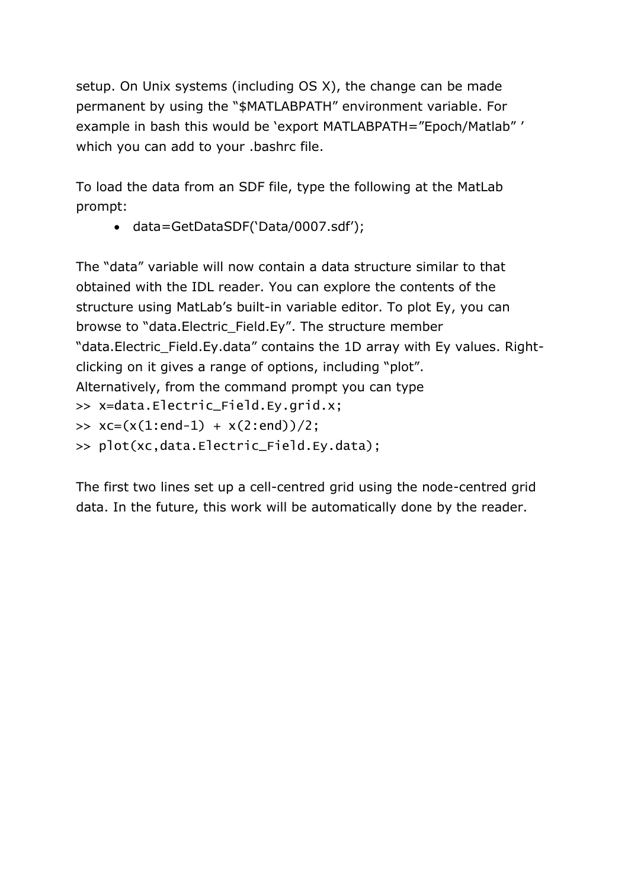setup. On Unix systems (including OS X), the change can be made permanent by using the "\$MATLABPATH" environment variable. For example in bash this would be 'export MATLABPATH="Epoch/Matlab" ' which you can add to your .bashrc file.

To load the data from an SDF file, type the following at the MatLab prompt:

data=GetDataSDF('Data/0007.sdf');

The "data" variable will now contain a data structure similar to that obtained with the IDL reader. You can explore the contents of the structure using MatLab's built-in variable editor. To plot Ey, you can browse to "data.Electric\_Field.Ey". The structure member "data.Electric Field.Ey.data" contains the 1D array with Ey values. Rightclicking on it gives a range of options, including "plot". Alternatively, from the command prompt you can type >> x=data.Electric\_Field.Ey.grid.x;  $\Rightarrow$  xc=(x(1:end-1) + x(2:end))/2; >> plot(xc,data.Electric\_Field.Ey.data);

The first two lines set up a cell-centred grid using the node-centred grid data. In the future, this work will be automatically done by the reader.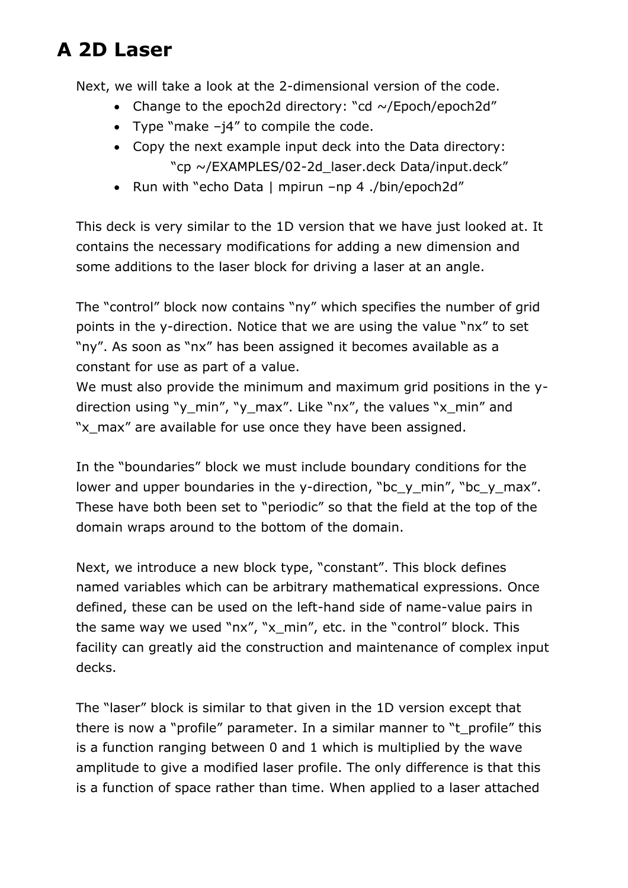# **A 2D Laser**

Next, we will take a look at the 2-dimensional version of the code.

- Change to the epoch2d directory: "cd  $\sim$ /Epoch/epoch2d"
- Type "make  $-i4$ " to compile the code.
- Copy the next example input deck into the Data directory: "cp ~/EXAMPLES/02-2d\_laser.deck Data/input.deck"
- Run with "echo Data | mpirun –np 4 ./bin/epoch2d"

This deck is very similar to the 1D version that we have just looked at. It contains the necessary modifications for adding a new dimension and some additions to the laser block for driving a laser at an angle.

The "control" block now contains "ny" which specifies the number of grid points in the y-direction. Notice that we are using the value "nx" to set "ny". As soon as "nx" has been assigned it becomes available as a constant for use as part of a value.

We must also provide the minimum and maximum grid positions in the ydirection using "y\_min", "y\_max". Like "nx", the values "x\_min" and "x\_max" are available for use once they have been assigned.

In the "boundaries" block we must include boundary conditions for the lower and upper boundaries in the y-direction, "bc\_y\_min", "bc\_y\_max". These have both been set to "periodic" so that the field at the top of the domain wraps around to the bottom of the domain.

Next, we introduce a new block type, "constant". This block defines named variables which can be arbitrary mathematical expressions. Once defined, these can be used on the left-hand side of name-value pairs in the same way we used "nx", "x\_min", etc. in the "control" block. This facility can greatly aid the construction and maintenance of complex input decks.

The "laser" block is similar to that given in the 1D version except that there is now a "profile" parameter. In a similar manner to "t\_profile" this is a function ranging between 0 and 1 which is multiplied by the wave amplitude to give a modified laser profile. The only difference is that this is a function of space rather than time. When applied to a laser attached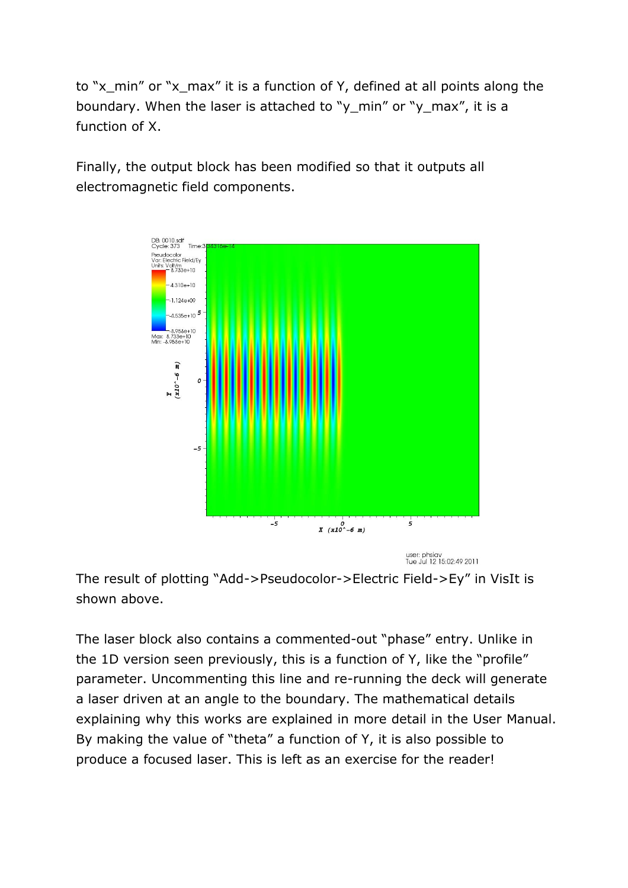to "x min" or "x max" it is a function of Y, defined at all points along the boundary. When the laser is attached to "y\_min" or "y\_max", it is a function of X.

Finally, the output block has been modified so that it outputs all electromagnetic field components.



user: phsiav<br>Tue Jul 12 15:02:49 2011

The result of plotting "Add->Pseudocolor->Electric Field->Ey" in VisIt is shown above.

The laser block also contains a commented-out "phase" entry. Unlike in the 1D version seen previously, this is a function of Y, like the "profile" parameter. Uncommenting this line and re-running the deck will generate a laser driven at an angle to the boundary. The mathematical details explaining why this works are explained in more detail in the User Manual. By making the value of "theta" a function of Y, it is also possible to produce a focused laser. This is left as an exercise for the reader!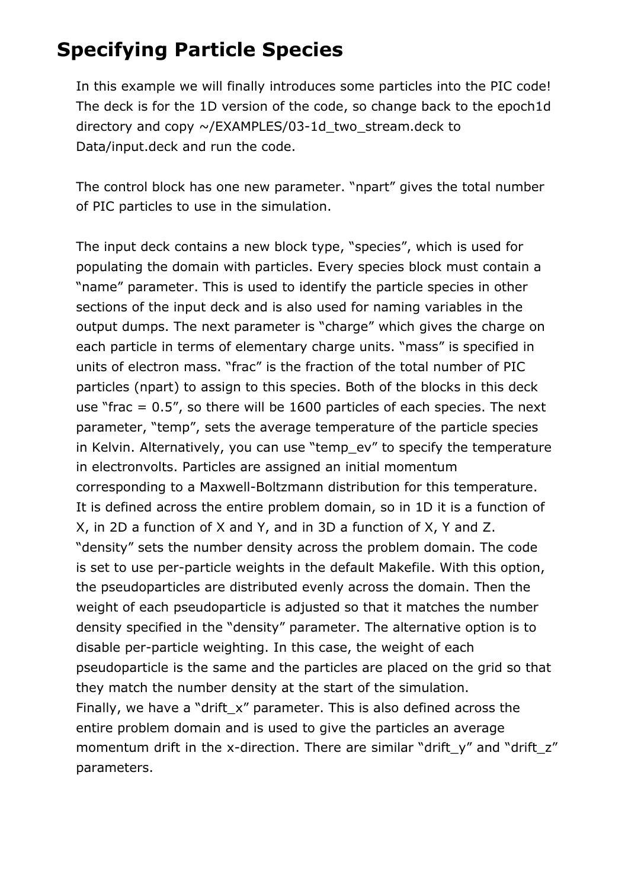# **Specifying Particle Species**

In this example we will finally introduces some particles into the PIC code! The deck is for the 1D version of the code, so change back to the epoch1d directory and copy ~/EXAMPLES/03-1d\_two\_stream.deck to Data/input.deck and run the code.

The control block has one new parameter. "npart" gives the total number of PIC particles to use in the simulation.

The input deck contains a new block type, "species", which is used for populating the domain with particles. Every species block must contain a "name" parameter. This is used to identify the particle species in other sections of the input deck and is also used for naming variables in the output dumps. The next parameter is "charge" which gives the charge on each particle in terms of elementary charge units. "mass" is specified in units of electron mass. "frac" is the fraction of the total number of PIC particles (npart) to assign to this species. Both of the blocks in this deck use "frac  $= 0.5$ ", so there will be 1600 particles of each species. The next parameter, "temp", sets the average temperature of the particle species in Kelvin. Alternatively, you can use "temp ev" to specify the temperature in electronvolts. Particles are assigned an initial momentum corresponding to a Maxwell-Boltzmann distribution for this temperature. It is defined across the entire problem domain, so in 1D it is a function of X, in 2D a function of X and Y, and in 3D a function of X, Y and Z. "density" sets the number density across the problem domain. The code is set to use per-particle weights in the default Makefile. With this option, the pseudoparticles are distributed evenly across the domain. Then the weight of each pseudoparticle is adjusted so that it matches the number density specified in the "density" parameter. The alternative option is to disable per-particle weighting. In this case, the weight of each pseudoparticle is the same and the particles are placed on the grid so that they match the number density at the start of the simulation. Finally, we have a "drift\_x" parameter. This is also defined across the entire problem domain and is used to give the particles an average momentum drift in the x-direction. There are similar "drift y" and "drift z" parameters.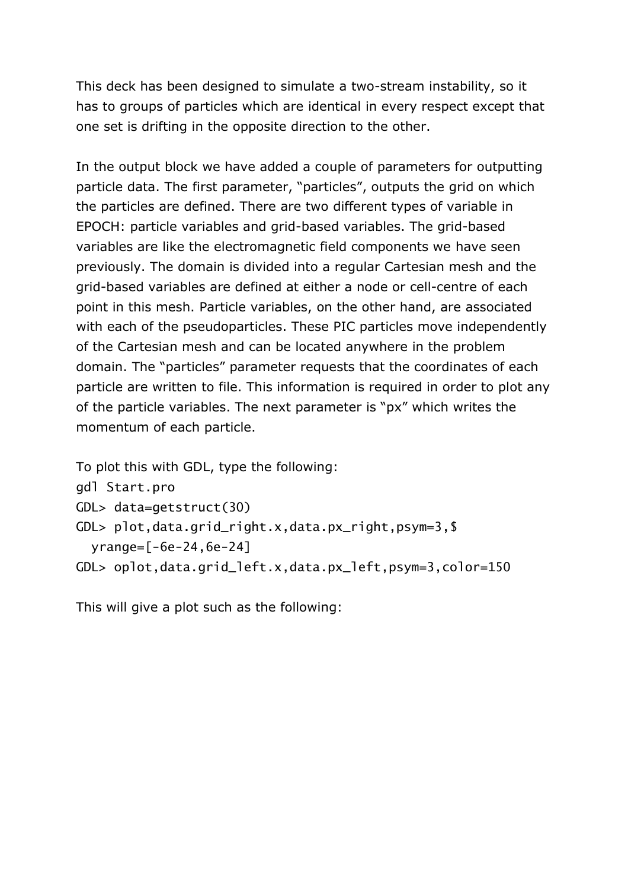This deck has been designed to simulate a two-stream instability, so it has to groups of particles which are identical in every respect except that one set is drifting in the opposite direction to the other.

In the output block we have added a couple of parameters for outputting particle data. The first parameter, "particles", outputs the grid on which the particles are defined. There are two different types of variable in EPOCH: particle variables and grid-based variables. The grid-based variables are like the electromagnetic field components we have seen previously. The domain is divided into a regular Cartesian mesh and the grid-based variables are defined at either a node or cell-centre of each point in this mesh. Particle variables, on the other hand, are associated with each of the pseudoparticles. These PIC particles move independently of the Cartesian mesh and can be located anywhere in the problem domain. The "particles" parameter requests that the coordinates of each particle are written to file. This information is required in order to plot any of the particle variables. The next parameter is "px" which writes the momentum of each particle.

```
To plot this with GDL, type the following:
gdl Start.pro
GDL> data=getstruct(30)
GDL> plot,data.grid_right.x,data.px_right,psym=3,$
   yrange=[-6e-24,6e-24]
GDL> oplot,data.grid_left.x,data.px_left,psym=3,color=150
```
This will give a plot such as the following: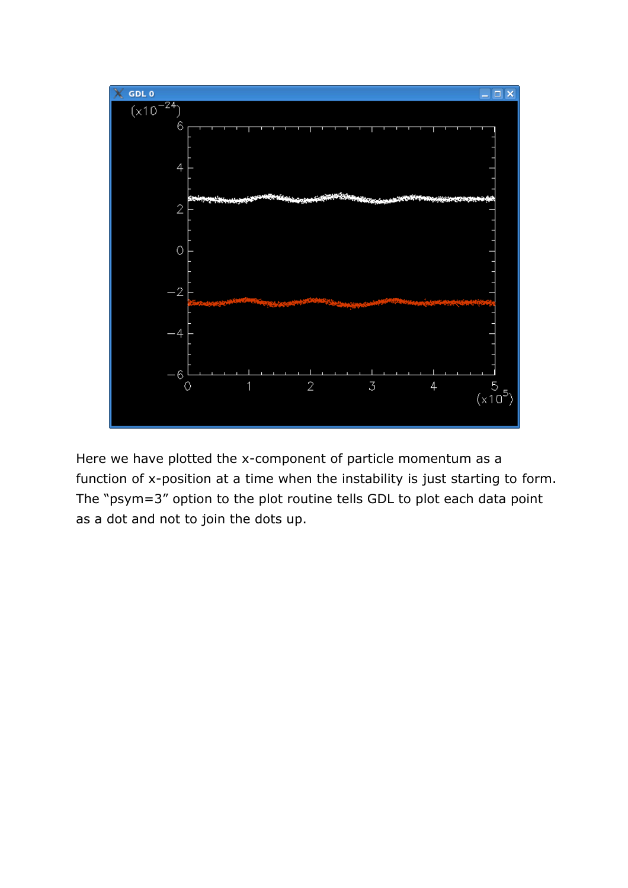

Here we have plotted the x-component of particle momentum as a function of x-position at a time when the instability is just starting to form. The "psym=3" option to the plot routine tells GDL to plot each data point as a dot and not to join the dots up.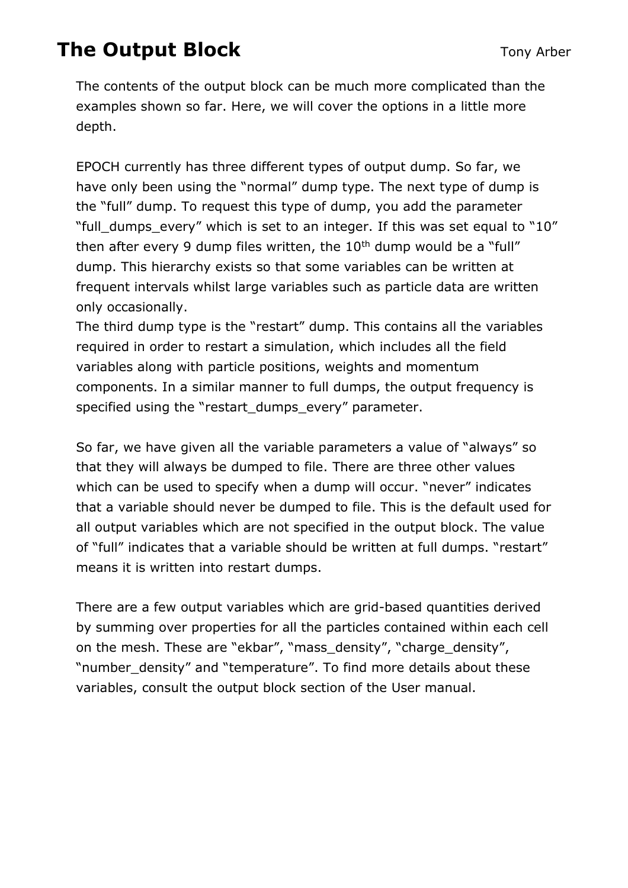# **The Output Block** Tony Arber

The contents of the output block can be much more complicated than the examples shown so far. Here, we will cover the options in a little more depth.

EPOCH currently has three different types of output dump. So far, we have only been using the "normal" dump type. The next type of dump is the "full" dump. To request this type of dump, you add the parameter "full\_dumps\_every" which is set to an integer. If this was set equal to "10" then after every 9 dump files written, the  $10<sup>th</sup>$  dump would be a "full" dump. This hierarchy exists so that some variables can be written at frequent intervals whilst large variables such as particle data are written only occasionally.

The third dump type is the "restart" dump. This contains all the variables required in order to restart a simulation, which includes all the field variables along with particle positions, weights and momentum components. In a similar manner to full dumps, the output frequency is specified using the "restart\_dumps\_every" parameter.

So far, we have given all the variable parameters a value of "always" so that they will always be dumped to file. There are three other values which can be used to specify when a dump will occur. "never" indicates that a variable should never be dumped to file. This is the default used for all output variables which are not specified in the output block. The value of "full" indicates that a variable should be written at full dumps. "restart" means it is written into restart dumps.

There are a few output variables which are grid-based quantities derived by summing over properties for all the particles contained within each cell on the mesh. These are "ekbar", "mass\_density", "charge\_density", "number\_density" and "temperature". To find more details about these variables, consult the output block section of the User manual.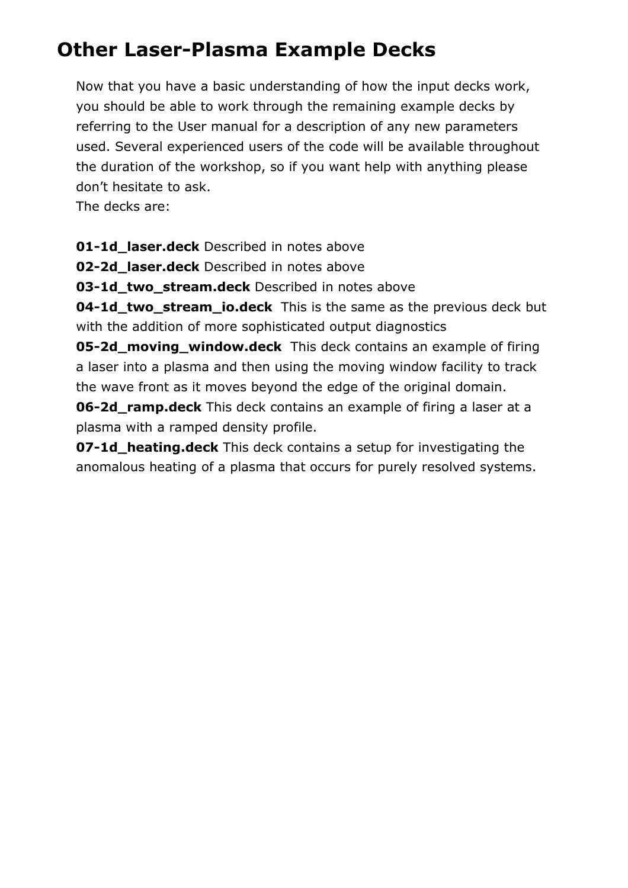## **Other Laser-Plasma Example Decks**

Now that you have a basic understanding of how the input decks work, you should be able to work through the remaining example decks by referring to the User manual for a description of any new parameters used. Several experienced users of the code will be available throughout the duration of the workshop, so if you want help with anything please don't hesitate to ask.

The decks are:

**01-1d\_laser.deck** Described in notes above

**02-2d laser.deck** Described in notes above

**03-1d\_two\_stream.deck** Described in notes above

**04-1d two stream io.deck** This is the same as the previous deck but with the addition of more sophisticated output diagnostics

**05-2d\_moving\_window.deck** This deck contains an example of firing a laser into a plasma and then using the moving window facility to track the wave front as it moves beyond the edge of the original domain.

**06-2d ramp.deck** This deck contains an example of firing a laser at a plasma with a ramped density profile.

**07-1d\_heating.deck** This deck contains a setup for investigating the anomalous heating of a plasma that occurs for purely resolved systems.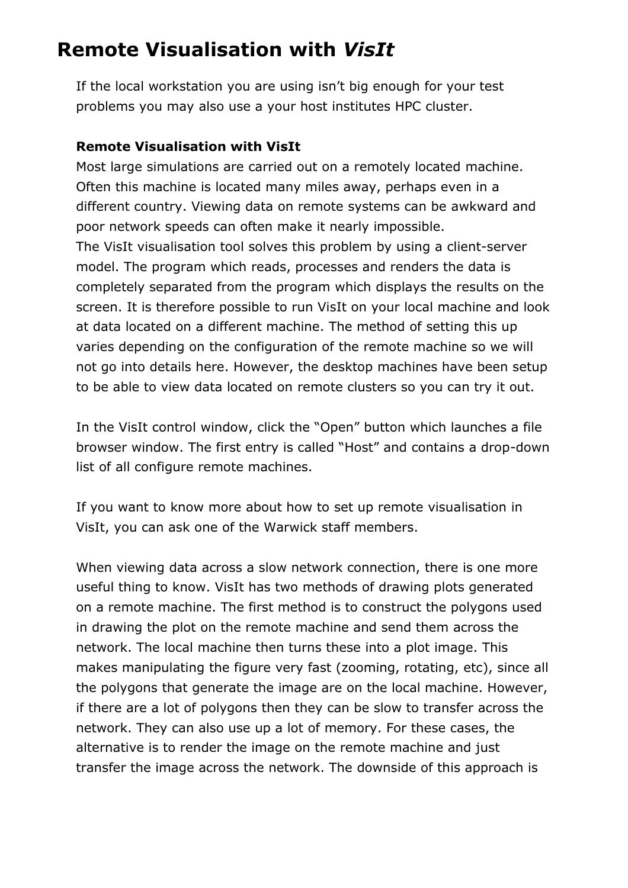### **Remote Visualisation with** *VisIt*

If the local workstation you are using isn't big enough for your test problems you may also use a your host institutes HPC cluster.

#### **Remote Visualisation with VisIt**

Most large simulations are carried out on a remotely located machine. Often this machine is located many miles away, perhaps even in a different country. Viewing data on remote systems can be awkward and poor network speeds can often make it nearly impossible. The VisIt visualisation tool solves this problem by using a client-server model. The program which reads, processes and renders the data is completely separated from the program which displays the results on the screen. It is therefore possible to run VisIt on your local machine and look at data located on a different machine. The method of setting this up varies depending on the configuration of the remote machine so we will not go into details here. However, the desktop machines have been setup to be able to view data located on remote clusters so you can try it out.

In the VisIt control window, click the "Open" button which launches a file browser window. The first entry is called "Host" and contains a drop-down list of all configure remote machines.

If you want to know more about how to set up remote visualisation in VisIt, you can ask one of the Warwick staff members.

When viewing data across a slow network connection, there is one more useful thing to know. VisIt has two methods of drawing plots generated on a remote machine. The first method is to construct the polygons used in drawing the plot on the remote machine and send them across the network. The local machine then turns these into a plot image. This makes manipulating the figure very fast (zooming, rotating, etc), since all the polygons that generate the image are on the local machine. However, if there are a lot of polygons then they can be slow to transfer across the network. They can also use up a lot of memory. For these cases, the alternative is to render the image on the remote machine and just transfer the image across the network. The downside of this approach is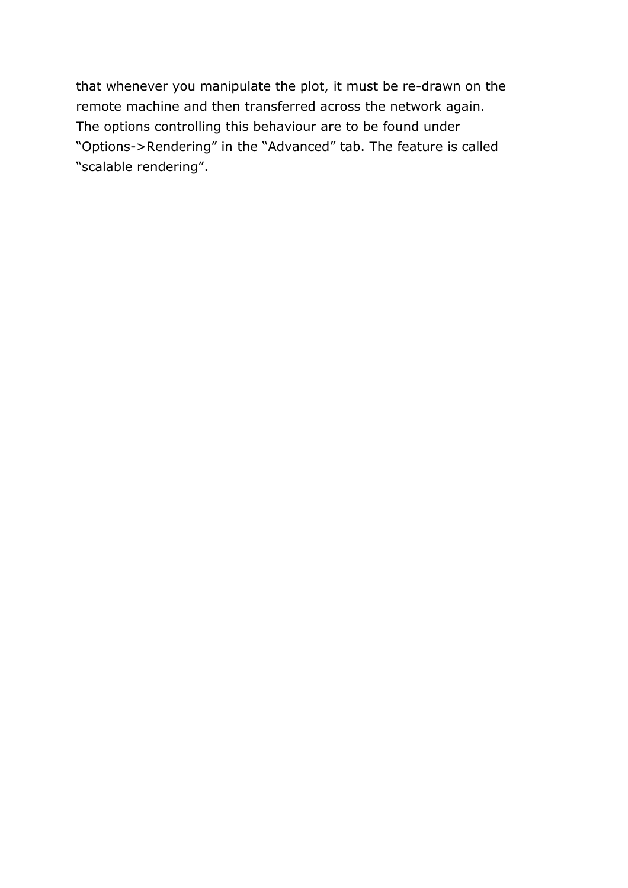that whenever you manipulate the plot, it must be re-drawn on the remote machine and then transferred across the network again. The options controlling this behaviour are to be found under "Options->Rendering" in the "Advanced" tab. The feature is called "scalable rendering".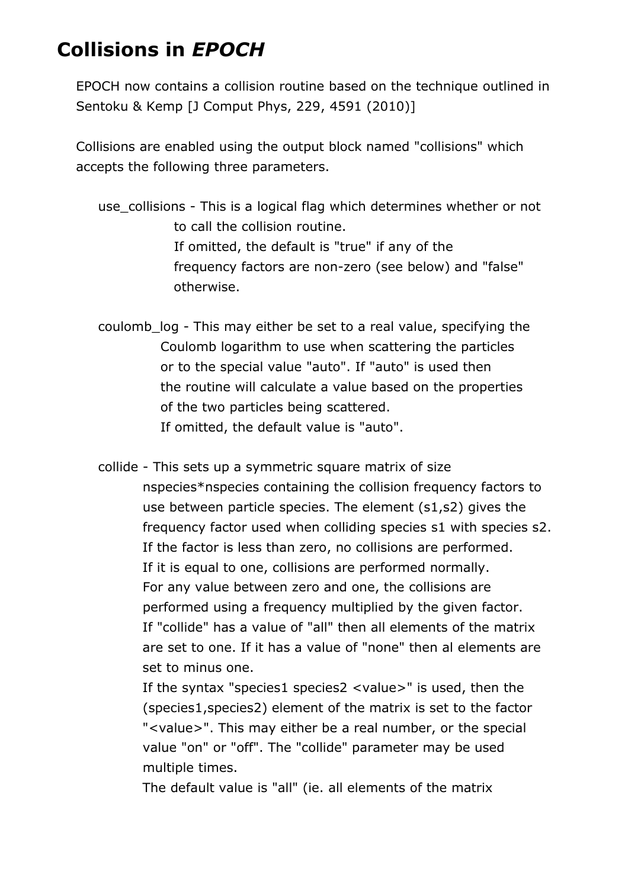## **Collisions in** *EPOCH*

EPOCH now contains a collision routine based on the technique outlined in Sentoku & Kemp [J Comput Phys, 229, 4591 (2010)]

Collisions are enabled using the output block named "collisions" which accepts the following three parameters.

- use collisions This is a logical flag which determines whether or not to call the collision routine. If omitted, the default is "true" if any of the frequency factors are non-zero (see below) and "false" otherwise.
- coulomb\_log This may either be set to a real value, specifying the Coulomb logarithm to use when scattering the particles or to the special value "auto". If "auto" is used then the routine will calculate a value based on the properties of the two particles being scattered. If omitted, the default value is "auto".

 collide - This sets up a symmetric square matrix of size nspecies\*nspecies containing the collision frequency factors to use between particle species. The element (s1,s2) gives the frequency factor used when colliding species s1 with species s2. If the factor is less than zero, no collisions are performed. If it is equal to one, collisions are performed normally. For any value between zero and one, the collisions are performed using a frequency multiplied by the given factor. If "collide" has a value of "all" then all elements of the matrix are set to one. If it has a value of "none" then al elements are set to minus one.

 If the syntax "species1 species2 <value>" is used, then the (species1,species2) element of the matrix is set to the factor "<value>". This may either be a real number, or the special value "on" or "off". The "collide" parameter may be used multiple times.

The default value is "all" (ie. all elements of the matrix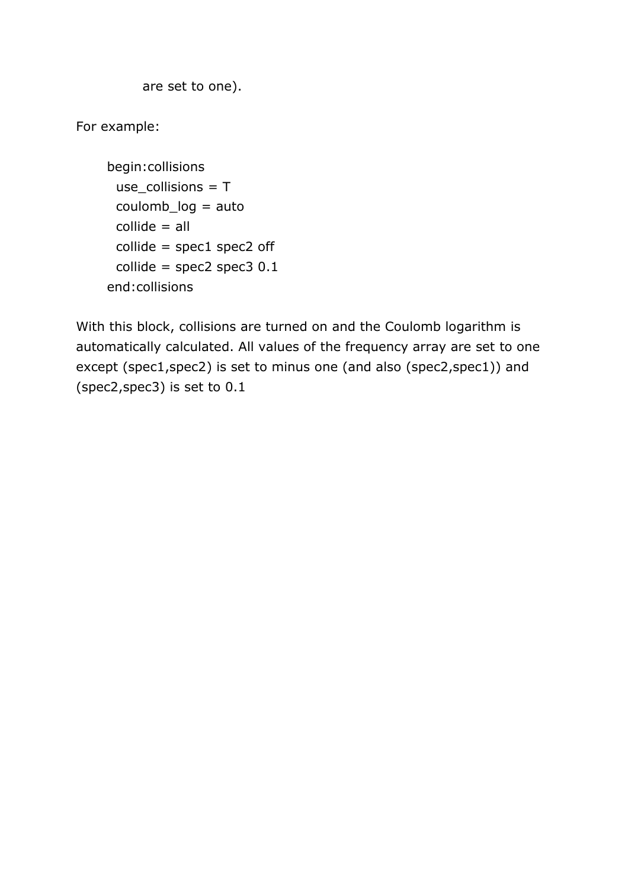are set to one).

For example:

```
 begin:collisions
 use collisions = Tcoulomb_log = autocollide = allcollide = spec1 spec2 off
 collide = spec2 spec3 0.1 end:collisions
```
With this block, collisions are turned on and the Coulomb logarithm is automatically calculated. All values of the frequency array are set to one except (spec1,spec2) is set to minus one (and also (spec2,spec1)) and (spec2,spec3) is set to 0.1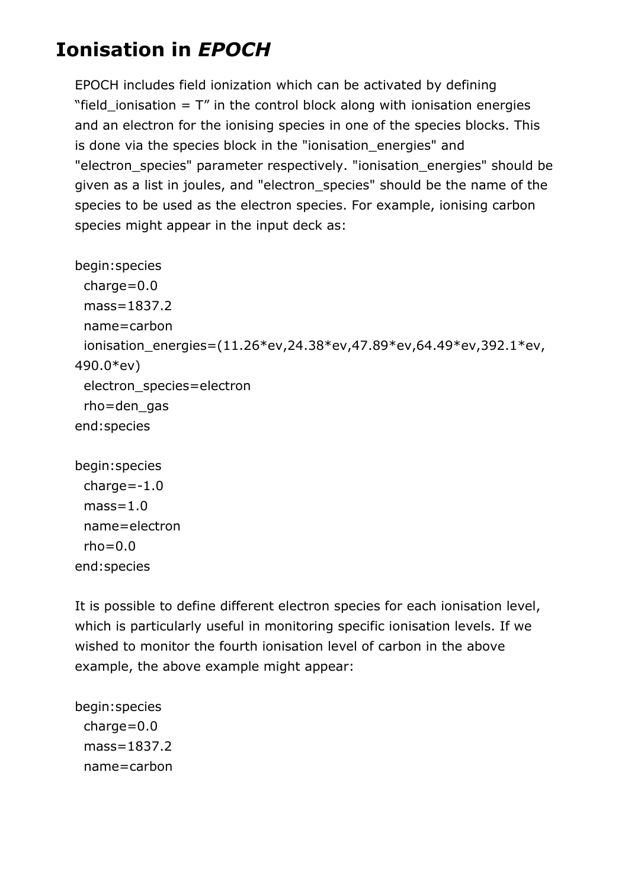## **Ionisation in** *EPOCH*

EPOCH includes field ionization which can be activated by defining "field\_ionisation =  $T''$  in the control block along with ionisation energies and an electron for the ionising species in one of the species blocks. This is done via the species block in the "ionisation energies" and "electron\_species" parameter respectively. "ionisation\_energies" should be given as a list in joules, and "electron\_species" should be the name of the species to be used as the electron species. For example, ionising carbon species might appear in the input deck as:

```
begin:species
```

```
charge=0.0
 mass=1837.2
 name=carbon
 ionisation_energies=(11.26*ev,24.38*ev,47.89*ev,64.49*ev,392.1*ev,
490.0*ev)
 electron_species=electron
 rho=den_gas
end:species
begin:species
```

```
charge=-1.0mass=1.0name=electron
 rho=0.0end:species
```
It is possible to define different electron species for each ionisation level, which is particularly useful in monitoring specific ionisation levels. If we wished to monitor the fourth ionisation level of carbon in the above example, the above example might appear:

begin:species charge=0.0 mass=1837.2 name=carbon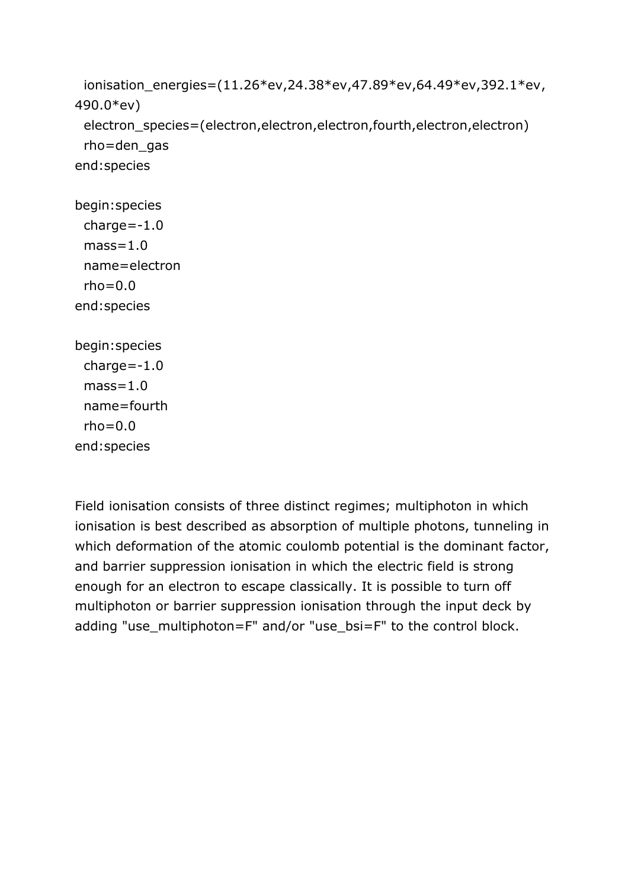```
ionisation_energies=(11.26*ev,24.38*ev,47.89*ev,64.49*ev,392.1*ev,
490.0*ev)
 electron_species=(electron,electron,electron,fourth,electron,electron)
 rho=den_gas
end:species
begin:species
```

```
charge=-1.0mass=1.0name=electron
 rho=0.0end:species
```

```
begin:species
 charge=-1.0mass=1.0name=fourth
 rho=0.0end:species
```
Field ionisation consists of three distinct regimes; multiphoton in which ionisation is best described as absorption of multiple photons, tunneling in which deformation of the atomic coulomb potential is the dominant factor, and barrier suppression ionisation in which the electric field is strong enough for an electron to escape classically. It is possible to turn off multiphoton or barrier suppression ionisation through the input deck by adding "use\_multiphoton=F" and/or "use\_bsi=F" to the control block.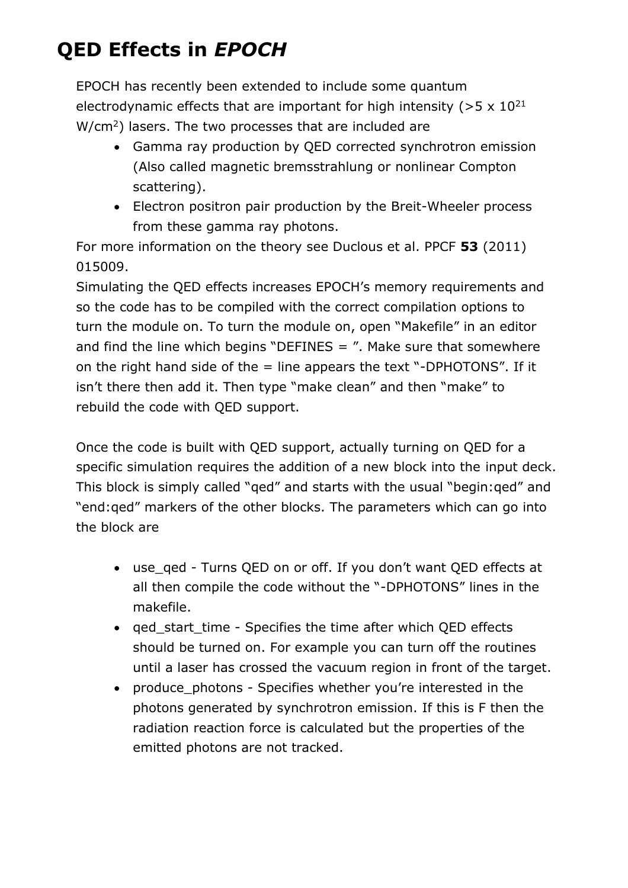# **QED Effects in** *EPOCH*

EPOCH has recently been extended to include some quantum electrodynamic effects that are important for high intensity ( $>5 \times 10^{21}$ ) W/cm<sup>2</sup>) lasers. The two processes that are included are

- Gamma ray production by QED corrected synchrotron emission (Also called magnetic bremsstrahlung or nonlinear Compton scattering).
- Electron positron pair production by the Breit-Wheeler process from these gamma ray photons.

For more information on the theory see Duclous et al. PPCF **53** (2011) 015009.

Simulating the QED effects increases EPOCH's memory requirements and so the code has to be compiled with the correct compilation options to turn the module on. To turn the module on, open "Makefile" in an editor and find the line which begins "DEFINES  $=$  ". Make sure that somewhere on the right hand side of the  $=$  line appears the text "-DPHOTONS". If it isn't there then add it. Then type "make clean" and then "make" to rebuild the code with QED support.

Once the code is built with QED support, actually turning on QED for a specific simulation requires the addition of a new block into the input deck. This block is simply called "qed" and starts with the usual "begin:qed" and "end:qed" markers of the other blocks. The parameters which can go into the block are

- use ged Turns QED on or off. If you don't want QED effects at all then compile the code without the "-DPHOTONS" lines in the makefile.
- qed start time Specifies the time after which QED effects should be turned on. For example you can turn off the routines until a laser has crossed the vacuum region in front of the target.
- produce photons Specifies whether you're interested in the photons generated by synchrotron emission. If this is F then the radiation reaction force is calculated but the properties of the emitted photons are not tracked.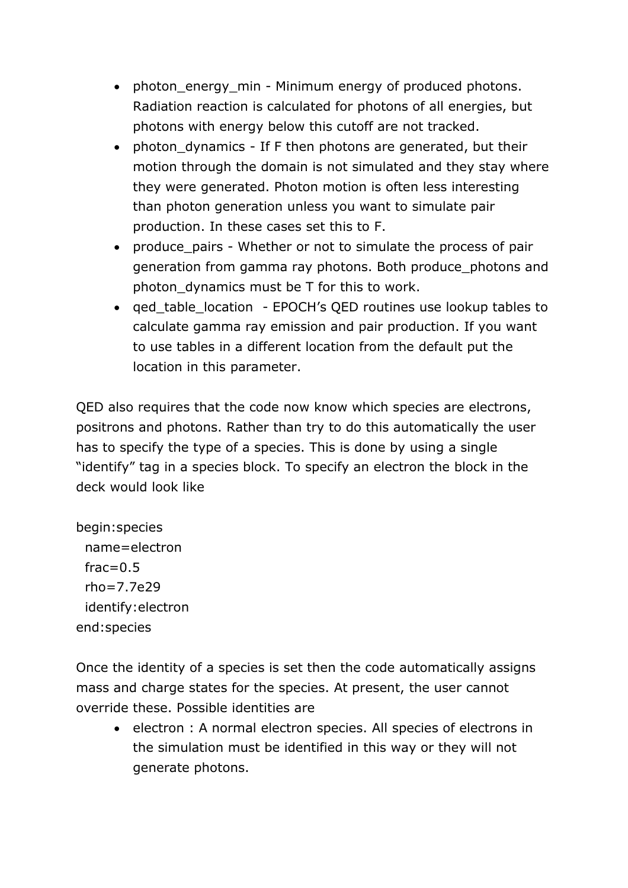- photon\_energy\_min Minimum energy of produced photons. Radiation reaction is calculated for photons of all energies, but photons with energy below this cutoff are not tracked.
- photon\_dynamics If F then photons are generated, but their motion through the domain is not simulated and they stay where they were generated. Photon motion is often less interesting than photon generation unless you want to simulate pair production. In these cases set this to F.
- produce\_pairs Whether or not to simulate the process of pair generation from gamma ray photons. Both produce\_photons and photon dynamics must be T for this to work.
- ged table location EPOCH's QED routines use lookup tables to calculate gamma ray emission and pair production. If you want to use tables in a different location from the default put the location in this parameter.

QED also requires that the code now know which species are electrons, positrons and photons. Rather than try to do this automatically the user has to specify the type of a species. This is done by using a single "identify" tag in a species block. To specify an electron the block in the deck would look like

begin:species name=electron  $frac=0.5$  rho=7.7e29 identify:electron end:species

Once the identity of a species is set then the code automatically assigns mass and charge states for the species. At present, the user cannot override these. Possible identities are

 electron : A normal electron species. All species of electrons in the simulation must be identified in this way or they will not generate photons.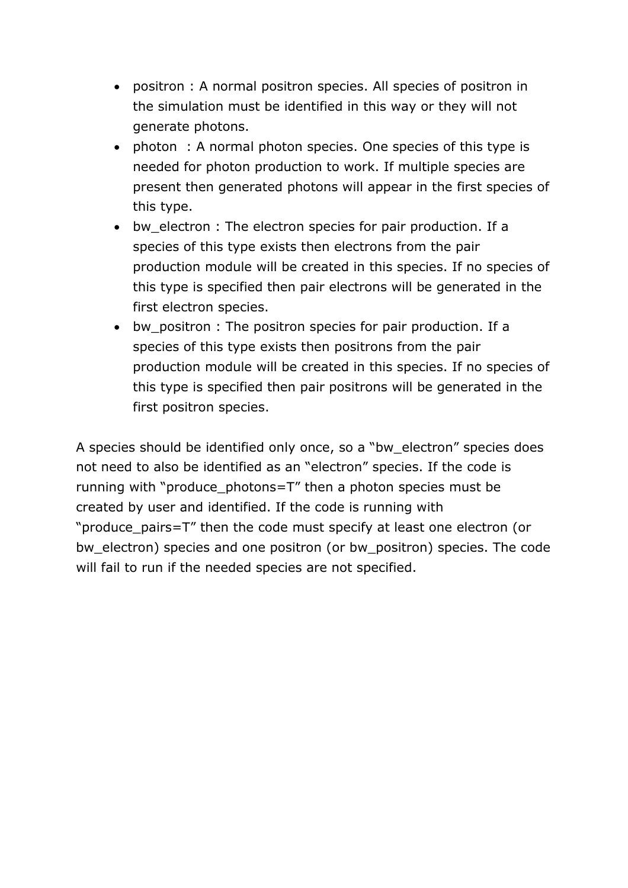- positron : A normal positron species. All species of positron in the simulation must be identified in this way or they will not generate photons.
- photon : A normal photon species. One species of this type is needed for photon production to work. If multiple species are present then generated photons will appear in the first species of this type.
- bw electron : The electron species for pair production. If a species of this type exists then electrons from the pair production module will be created in this species. If no species of this type is specified then pair electrons will be generated in the first electron species.
- bw\_positron : The positron species for pair production. If a species of this type exists then positrons from the pair production module will be created in this species. If no species of this type is specified then pair positrons will be generated in the first positron species.

A species should be identified only once, so a "bw\_electron" species does not need to also be identified as an "electron" species. If the code is running with "produce\_photons=T" then a photon species must be created by user and identified. If the code is running with "produce pairs=T" then the code must specify at least one electron (or bw\_electron) species and one positron (or bw\_positron) species. The code will fail to run if the needed species are not specified.